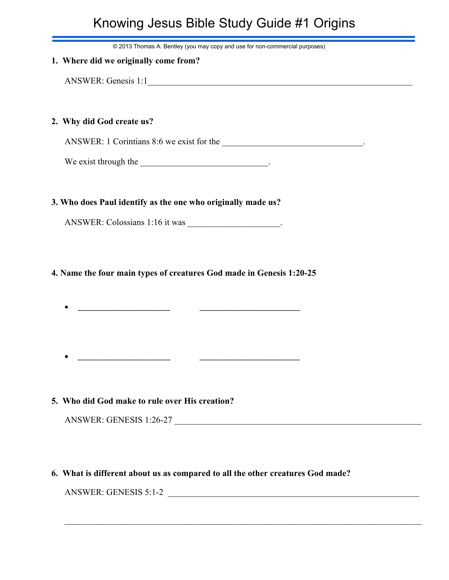# Knowing Jesus Bible Study Guide #1 Origins

© 2013 Thomas A. Bentley (you may copy and use for non-commercial purposes)

| © 2013 Thomas A. Bentley (you may copy and use for non-commercial purposes) |  |  |
|-----------------------------------------------------------------------------|--|--|
| 1. Where did we originally come from?                                       |  |  |
| ANSWER: Genesis 1:1                                                         |  |  |
|                                                                             |  |  |
| 2. Why did God create us?                                                   |  |  |
|                                                                             |  |  |
|                                                                             |  |  |
|                                                                             |  |  |
| 3. Who does Paul identify as the one who originally made us?                |  |  |
|                                                                             |  |  |
|                                                                             |  |  |

**4. Name the four main types of creatures God made in Genesis 1:20-25**

· \_\_\_\_\_\_\_\_\_\_\_\_\_\_\_\_\_\_\_\_\_\_\_ \_\_\_\_\_\_\_\_\_\_\_\_\_\_\_\_\_\_\_\_\_\_\_\_\_

**5. Who did God make to rule over His creation?**

· \_\_\_\_\_\_\_\_\_\_\_\_\_\_\_\_\_\_\_\_\_\_\_ \_\_\_\_\_\_\_\_\_\_\_\_\_\_\_\_\_\_\_\_\_\_\_\_\_

| ANSWER: GENESIS 1:26-27 |  |
|-------------------------|--|
|                         |  |

## **6. What is different about us as compared to all the other creatures God made?**

\_\_\_\_\_\_\_\_\_\_\_\_\_\_\_\_\_\_\_\_\_\_\_\_\_\_\_\_\_\_\_\_\_\_\_\_\_\_\_\_\_\_\_\_\_\_\_\_\_\_\_\_\_\_\_\_\_\_\_\_\_\_\_\_\_\_\_\_\_\_\_\_\_\_\_\_\_\_\_\_\_

ANSWER: GENESIS 5:1-2 \_\_\_\_\_\_\_\_\_\_\_\_\_\_\_\_\_\_\_\_\_\_\_\_\_\_\_\_\_\_\_\_\_\_\_\_\_\_\_\_\_\_\_\_\_\_\_\_\_\_\_\_\_\_\_\_\_